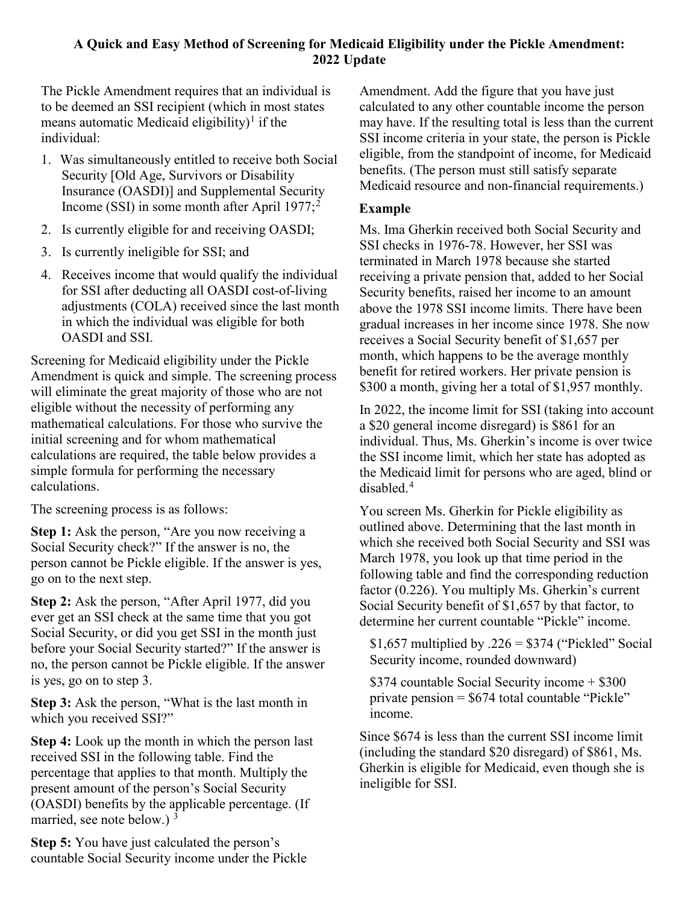## **A Quick and Easy Method of Screening for Medicaid Eligibility under the Pickle Amendment: 2022 Update**

The Pickle Amendment requires that an individual is to be deemed an SSI recipient (which in most states means automatic Medicaid eligibility)<sup>[1](#page-1-0)</sup> if the individual:

- 1. Was simultaneously entitled to receive both Social Security [Old Age, Survivors or Disability Insurance (OASDI)] and Supplemental Security Income (SSI) in some month after April  $1977$ ;<sup>[2](#page-1-1)</sup>
- 2. Is currently eligible for and receiving OASDI;
- 3. Is currently ineligible for SSI; and
- 4. Receives income that would qualify the individual for SSI after deducting all OASDI cost-of-living adjustments (COLA) received since the last month in which the individual was eligible for both OASDI and SSI.

Screening for Medicaid eligibility under the Pickle Amendment is quick and simple. The screening process will eliminate the great majority of those who are not eligible without the necessity of performing any mathematical calculations. For those who survive the initial screening and for whom mathematical calculations are required, the table below provides a simple formula for performing the necessary calculations.

The screening process is as follows:

**Step 1:** Ask the person, "Are you now receiving a Social Security check?" If the answer is no, the person cannot be Pickle eligible. If the answer is yes, go on to the next step.

**Step 2:** Ask the person, "After April 1977, did you ever get an SSI check at the same time that you got Social Security, or did you get SSI in the month just before your Social Security started?" If the answer is no, the person cannot be Pickle eligible. If the answer is yes, go on to step 3.

**Step 3:** Ask the person, "What is the last month in which you received SSI?"

**Step 4:** Look up the month in which the person last received SSI in the following table. Find the percentage that applies to that month. Multiply the present amount of the person's Social Security (OASDI) benefits by the applicable percentage. (If married, see note below.)  $3$ 

**Step 5:** You have just calculated the person's countable Social Security income under the Pickle Amendment. Add the figure that you have just calculated to any other countable income the person may have. If the resulting total is less than the current SSI income criteria in your state, the person is Pickle eligible, from the standpoint of income, for Medicaid benefits. (The person must still satisfy separate Medicaid resource and non-financial requirements.)

## **Example**

Ms. Ima Gherkin received both Social Security and SSI checks in 1976-78. However, her SSI was terminated in March 1978 because she started receiving a private pension that, added to her Social Security benefits, raised her income to an amount above the 1978 SSI income limits. There have been gradual increases in her income since 1978. She now receives a Social Security benefit of \$1,657 per month, which happens to be the average monthly benefit for retired workers. Her private pension is \$300 a month, giving her a total of \$1,957 monthly.

In 2022, the income limit for SSI (taking into account a \$20 general income disregard) is \$861 for an individual. Thus, Ms. Gherkin's income is over twice the SSI income limit, which her state has adopted as the Medicaid limit for persons who are aged, blind or disabled.[4](#page-1-3)

You screen Ms. Gherkin for Pickle eligibility as outlined above. Determining that the last month in which she received both Social Security and SSI was March 1978, you look up that time period in the following table and find the corresponding reduction factor (0.226). You multiply Ms. Gherkin's current Social Security benefit of \$1,657 by that factor, to determine her current countable "Pickle" income.

\$1,657 multiplied by  $.226 = $374$  ("Pickled" Social Security income, rounded downward)

\$374 countable Social Security income + \$300 private pension  $=$  \$674 total countable "Pickle" income.

Since \$674 is less than the current SSI income limit (including the standard \$20 disregard) of \$861, Ms. Gherkin is eligible for Medicaid, even though she is ineligible for SSI.